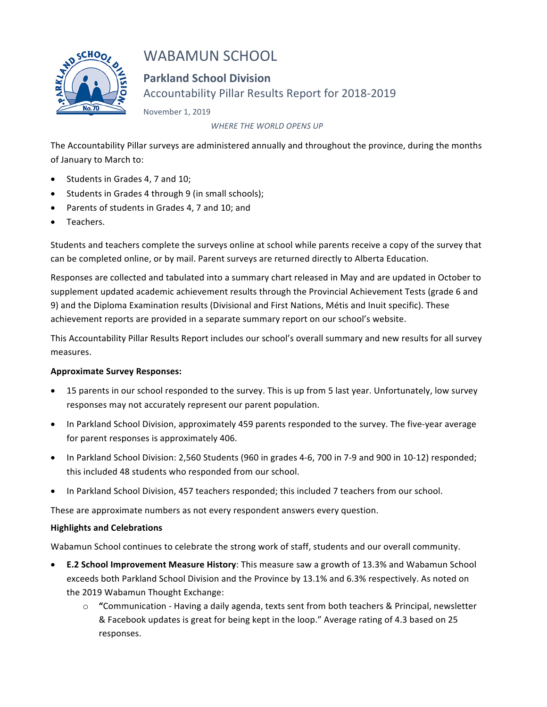

# WABAMUN SCHOOL

**Parkland School Division** Accountability Pillar Results Report for 2018-2019

November 1, 2019

WHERE THE WORLD OPENS UP

The Accountability Pillar surveys are administered annually and throughout the province, during the months of January to March to:

- Students in Grades 4, 7 and 10;
- Students in Grades 4 through 9 (in small schools);
- Parents of students in Grades 4, 7 and 10; and
- Teachers.

Students and teachers complete the surveys online at school while parents receive a copy of the survey that can be completed online, or by mail. Parent surveys are returned directly to Alberta Education.

Responses are collected and tabulated into a summary chart released in May and are updated in October to supplement updated academic achievement results through the Provincial Achievement Tests (grade 6 and 9) and the Diploma Examination results (Divisional and First Nations, Métis and Inuit specific). These achievement reports are provided in a separate summary report on our school's website.

This Accountability Pillar Results Report includes our school's overall summary and new results for all survey measures.

### **Approximate Survey Responses:**

- 15 parents in our school responded to the survey. This is up from 5 last year. Unfortunately, low survey responses may not accurately represent our parent population.
- In Parkland School Division, approximately 459 parents responded to the survey. The five-year average for parent responses is approximately 406.
- In Parkland School Division: 2,560 Students (960 in grades 4-6, 700 in 7-9 and 900 in 10-12) responded; this included 48 students who responded from our school.
- In Parkland School Division, 457 teachers responded; this included 7 teachers from our school.

These are approximate numbers as not every respondent answers every question.

### **Highlights and Celebrations**

Wabamun School continues to celebrate the strong work of staff, students and our overall community.

- **E.2 School Improvement Measure History**: This measure saw a growth of 13.3% and Wabamun School exceeds both Parkland School Division and the Province by 13.1% and 6.3% respectively. As noted on the 2019 Wabamun Thought Exchange:
	- $\circ$  "Communication Having a daily agenda, texts sent from both teachers & Principal, newsletter & Facebook updates is great for being kept in the loop." Average rating of 4.3 based on 25 responses.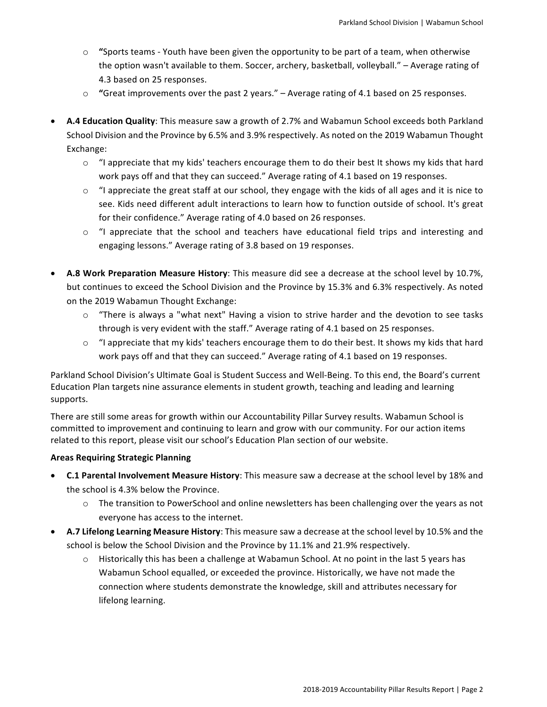- $\circ$  "Sports teams Youth have been given the opportunity to be part of a team, when otherwise the option wasn't available to them. Soccer, archery, basketball, volleyball." - Average rating of 4.3 based on 25 responses.
- **"Great improvements over the past 2 years."** Average rating of 4.1 based on 25 responses.
- **A.4 Education Quality**: This measure saw a growth of 2.7% and Wabamun School exceeds both Parkland School Division and the Province by 6.5% and 3.9% respectively. As noted on the 2019 Wabamun Thought Exchange:
	- $\circ$  "I appreciate that my kids' teachers encourage them to do their best It shows my kids that hard work pays off and that they can succeed." Average rating of 4.1 based on 19 responses.
	- $\circ$  "I appreciate the great staff at our school, they engage with the kids of all ages and it is nice to see. Kids need different adult interactions to learn how to function outside of school. It's great for their confidence." Average rating of 4.0 based on 26 responses.
	- $\circ$  "I appreciate that the school and teachers have educational field trips and interesting and engaging lessons." Average rating of 3.8 based on 19 responses.
- A.8 Work Preparation Measure History: This measure did see a decrease at the school level by 10.7%, but continues to exceed the School Division and the Province by 15.3% and 6.3% respectively. As noted on the 2019 Wabamun Thought Exchange:
	- $\circ$  "There is always a "what next" Having a vision to strive harder and the devotion to see tasks through is very evident with the staff." Average rating of 4.1 based on 25 responses.
	- $\circ$  "I appreciate that my kids' teachers encourage them to do their best. It shows my kids that hard work pays off and that they can succeed." Average rating of 4.1 based on 19 responses.

Parkland School Division's Ultimate Goal is Student Success and Well-Being. To this end, the Board's current Education Plan targets nine assurance elements in student growth, teaching and leading and learning supports.

There are still some areas for growth within our Accountability Pillar Survey results. Wabamun School is committed to improvement and continuing to learn and grow with our community. For our action items related to this report, please visit our school's Education Plan section of our website.

### **Areas Requiring Strategic Planning**

- **C.1 Parental Involvement Measure History**: This measure saw a decrease at the school level by 18% and the school is 4.3% below the Province.
	- $\circ$  The transition to PowerSchool and online newsletters has been challenging over the years as not everyone has access to the internet.
- A.7 Lifelong Learning Measure History: This measure saw a decrease at the school level by 10.5% and the school is below the School Division and the Province by 11.1% and 21.9% respectively.
	- $\circ$  Historically this has been a challenge at Wabamun School. At no point in the last 5 years has Wabamun School equalled, or exceeded the province. Historically, we have not made the connection where students demonstrate the knowledge, skill and attributes necessary for lifelong learning.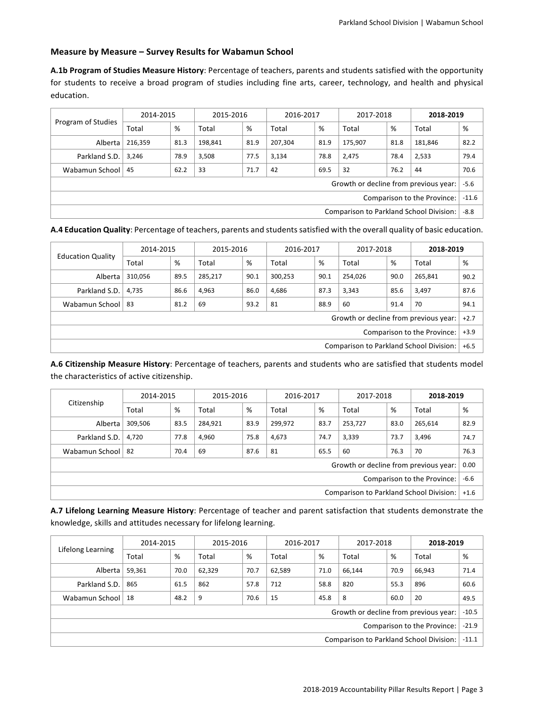#### **Measure by Measure - Survey Results for Wabamun School**

A.1b Program of Studies Measure History: Percentage of teachers, parents and students satisfied with the opportunity for students to receive a broad program of studies including fine arts, career, technology, and health and physical education.

| Program of Studies                      | 2014-2015                   |      | 2015-2016 |                                        | 2016-2017 |      | 2017-2018                             |      | 2018-2019 |        |
|-----------------------------------------|-----------------------------|------|-----------|----------------------------------------|-----------|------|---------------------------------------|------|-----------|--------|
|                                         | Total                       | %    | Total     | %                                      | Total     | %    | Total                                 | %    | Total     | %      |
| Alberta                                 | 216,359                     | 81.3 | 198,841   | 81.9                                   | 207,304   | 81.9 | 175,907                               | 81.8 | 181,846   | 82.2   |
| Parkland S.D.                           | 3.246                       | 78.9 | 3,508     | 77.5                                   | 3,134     | 78.8 | 2,475                                 | 78.4 | 2,533     | 79.4   |
| Wabamun School                          | -45                         | 62.2 | 33        | 32<br>69.5<br>76.2<br>71.7<br>42<br>44 |           |      |                                       |      |           | 70.6   |
|                                         |                             |      |           |                                        |           |      | Growth or decline from previous year: |      |           | $-5.6$ |
|                                         | Comparison to the Province: |      |           |                                        |           |      | $-11.6$                               |      |           |        |
| Comparison to Parkland School Division: |                             |      |           |                                        | $-8.8$    |      |                                       |      |           |        |

A.4 Education Quality: Percentage of teachers, parents and students satisfied with the overall quality of basic education.

| <b>Education Quality</b>                | 2014-2015                                             |      | 2015-2016 |      | 2016-2017 |      | 2017-2018                             |        | 2018-2019 |        |
|-----------------------------------------|-------------------------------------------------------|------|-----------|------|-----------|------|---------------------------------------|--------|-----------|--------|
|                                         | Total                                                 | %    | Total     | %    | Total     | %    | Total                                 | %      | Total     | %      |
| Alberta                                 | 310,056                                               | 89.5 | 285.217   | 90.1 | 300.253   | 90.1 | 254.026                               | 90.0   | 265.841   | 90.2   |
| Parkland S.D.                           | 4.735                                                 | 86.6 | 4,963     | 86.0 | 4,686     | 87.3 | 3.343                                 | 85.6   | 3,497     | 87.6   |
| Wabamun School                          | 88.9<br>69<br>93.2<br>81<br>60<br>-83<br>91.4<br>81.2 |      |           |      |           |      | 70                                    | 94.1   |           |        |
|                                         |                                                       |      |           |      |           |      | Growth or decline from previous year: |        |           | $+2.7$ |
|                                         | Comparison to the Province:                           |      |           |      |           |      |                                       | $+3.9$ |           |        |
| Comparison to Parkland School Division: |                                                       |      |           |      |           |      | $+6.5$                                |        |           |        |

A.6 Citizenship Measure History: Percentage of teachers, parents and students who are satisfied that students model the characteristics of active citizenship.

| Citizenship                             | 2014-2015 |      | 2015-2016 |      | 2016-2017 |        | 2017-2018 |      | 2018-2019                             |      |
|-----------------------------------------|-----------|------|-----------|------|-----------|--------|-----------|------|---------------------------------------|------|
|                                         | Total     | %    | Total     | %    | Total     | %      | Total     | %    | Total                                 | %    |
| Alberta                                 | 309,506   | 83.5 | 284,921   | 83.9 | 299,972   | 83.7   | 253,727   | 83.0 | 265,614                               | 82.9 |
| Parkland S.D.                           | 4.720     | 77.8 | 4,960     | 75.8 | 4,673     | 74.7   | 3,339     | 73.7 | 3,496                                 | 74.7 |
| Wabamun School                          | -82       | 70.4 | 69        | 87.6 | 81        | 65.5   | 60        | 76.3 | 70                                    | 76.3 |
|                                         |           |      |           |      |           |        |           |      | Growth or decline from previous year: | 0.00 |
| $-6.6$<br>Comparison to the Province:   |           |      |           |      |           |        |           |      |                                       |      |
| Comparison to Parkland School Division: |           |      |           |      |           | $+1.6$ |           |      |                                       |      |

A.7 Lifelong Learning Measure History: Percentage of teacher and parent satisfaction that students demonstrate the knowledge, skills and attitudes necessary for lifelong learning.

| Lifelong Learning                              | 2014-2015                                                        |      | 2015-2016 |      | 2016-2017 |      | 2017-2018 |      | 2018-2019                             |         |
|------------------------------------------------|------------------------------------------------------------------|------|-----------|------|-----------|------|-----------|------|---------------------------------------|---------|
|                                                | Total                                                            | %    | Total     | %    | Total     | %    | Total     | %    | Total                                 | %       |
| Alberta                                        | 59,361                                                           | 70.0 | 62,329    | 70.7 | 62,589    | 71.0 | 66.144    | 70.9 | 66.943                                | 71.4    |
| Parkland S.D.                                  | 865                                                              | 61.5 | 862       | 57.8 | 712       | 58.8 | 820       | 55.3 | 896                                   | 60.6    |
| Wabamun School                                 | 15<br>20<br>9<br>45.8<br>48.2<br>70.6<br>8<br>60.0<br>$\vert$ 18 |      |           |      |           |      | 49.5      |      |                                       |         |
|                                                |                                                                  |      |           |      |           |      |           |      | Growth or decline from previous year: | $-10.5$ |
|                                                | Comparison to the Province:                                      |      |           |      |           |      | $-21.9$   |      |                                       |         |
| <b>Comparison to Parkland School Division:</b> |                                                                  |      |           |      | $-11.1$   |      |           |      |                                       |         |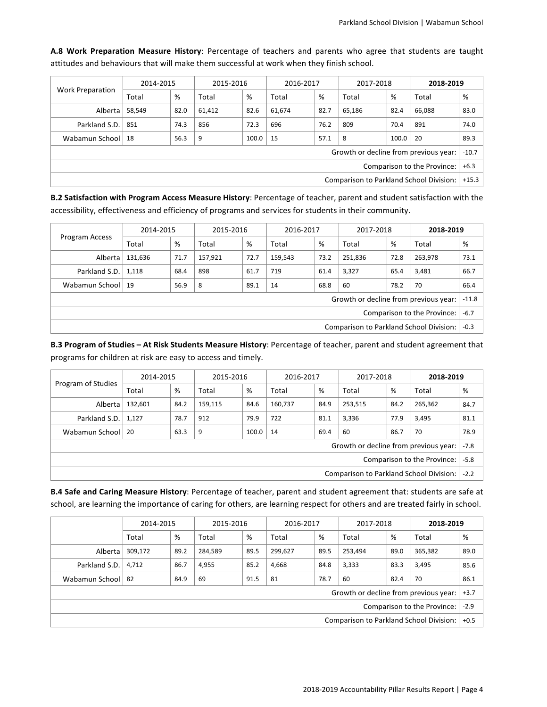| <b>Work Preparation</b>                        |                             | 2014-2015                                         |        | 2015-2016                               |         | 2016-2017 |                                       | 2017-2018 |        | 2018-2019 |
|------------------------------------------------|-----------------------------|---------------------------------------------------|--------|-----------------------------------------|---------|-----------|---------------------------------------|-----------|--------|-----------|
|                                                | Total                       | %                                                 | Total  | %                                       | Total   | %         | Total                                 | %         | Total  | %         |
| Alberta                                        | 58,549                      | 82.0                                              | 61,412 | 82.6                                    | 61,674  | 82.7      | 65.186                                | 82.4      | 66,088 | 83.0      |
| Parkland S.D.                                  | 851                         | 856<br>76.2<br>809<br>74.3<br>72.3<br>696<br>70.4 |        |                                         |         |           |                                       | 891       | 74.0   |           |
| Wabamun School                                 | 18                          | 56.3                                              | 9      | 15<br>8<br>20<br>57.1<br>100.0<br>100.0 |         |           |                                       |           |        | 89.3      |
|                                                |                             |                                                   |        |                                         |         |           | Growth or decline from previous year: |           |        | $-10.7$   |
|                                                | Comparison to the Province: |                                                   |        |                                         |         |           |                                       | $+6.3$    |        |           |
| <b>Comparison to Parkland School Division:</b> |                             |                                                   |        |                                         | $+15.3$ |           |                                       |           |        |           |

A.8 Work Preparation Measure History: Percentage of teachers and parents who agree that students are taught attitudes and behaviours that will make them successful at work when they finish school.

**B.2 Satisfaction with Program Access Measure History**: Percentage of teacher, parent and student satisfaction with the accessibility, effectiveness and efficiency of programs and services for students in their community.

| Program Access                          | 2014-2015                             |      | 2015-2016 |      | 2016-2017 |      | 2017-2018 |        | 2018-2019                             |         |
|-----------------------------------------|---------------------------------------|------|-----------|------|-----------|------|-----------|--------|---------------------------------------|---------|
|                                         | Total                                 | %    | Total     | %    | Total     | %    | Total     | %      | Total                                 | %       |
| Alberta                                 | 131,636                               | 71.7 | 157,921   | 72.7 | 159,543   | 73.2 | 251,836   | 72.8   | 263.978                               | 73.1    |
| Parkland S.D.                           | 1,118                                 | 68.4 | 898       | 61.7 | 719       | 61.4 | 3,327     | 65.4   | 3,481                                 | 66.7    |
| Wabamun School   19                     | 8<br>68.8<br>60<br>56.9<br>89.1<br>14 |      |           |      |           |      |           | 78.2   | 70                                    | 66.4    |
|                                         |                                       |      |           |      |           |      |           |        | Growth or decline from previous year: | $-11.8$ |
|                                         | Comparison to the Province:           |      |           |      |           |      |           | $-6.7$ |                                       |         |
| Comparison to Parkland School Division: |                                       |      |           |      | $-0.3$    |      |           |        |                                       |         |

**B.3 Program of Studies - At Risk Students Measure History**: Percentage of teacher, parent and student agreement that programs for children at risk are easy to access and timely.

| Program of Studies                      | 2014-2015 |      | 2015-2016 |       | 2016-2017 |        | 2017-2018 |      | 2018-2019                             |        |
|-----------------------------------------|-----------|------|-----------|-------|-----------|--------|-----------|------|---------------------------------------|--------|
|                                         | Total     | %    | Total     | %     | Total     | %      | Total     | %    | Total                                 | %      |
| Alberta                                 | 132,601   | 84.2 | 159,115   | 84.6  | 160,737   | 84.9   | 253,515   | 84.2 | 265,362                               | 84.7   |
| Parkland S.D.                           | 1,127     | 78.7 | 912       | 79.9  | 722       | 81.1   | 3,336     | 77.9 | 3,495                                 | 81.1   |
| Wabamun School                          | -20       | 63.3 | 9         | 100.0 | 14        | 69.4   | 60        | 86.7 | 70                                    | 78.9   |
|                                         |           |      |           |       |           |        |           |      | Growth or decline from previous year: | $-7.8$ |
| Comparison to the Province:             |           |      |           |       |           |        | $-5.8$    |      |                                       |        |
| Comparison to Parkland School Division: |           |      |           |       |           | $-2.2$ |           |      |                                       |        |

**B.4 Safe and Caring Measure History**: Percentage of teacher, parent and student agreement that: students are safe at school, are learning the importance of caring for others, are learning respect for others and are treated fairly in school.

|                | 2014-2015                                                   |      | 2015-2016 |      | 2016-2017 |      | 2017-2018                             |        | 2018-2019 |        |
|----------------|-------------------------------------------------------------|------|-----------|------|-----------|------|---------------------------------------|--------|-----------|--------|
|                | Total                                                       | %    | Total     | %    | Total     | %    | Total                                 | %      | Total     | %      |
| Alberta        | 309,172                                                     | 89.2 | 284,589   | 89.5 | 299,627   | 89.5 | 253,494                               | 89.0   | 365,382   | 89.0   |
| Parkland S.D.  | 4.712                                                       | 86.7 | 4,955     | 85.2 | 4,668     | 84.8 | 3,333                                 | 83.3   | 3,495     | 85.6   |
| Wabamun School | 81<br>78.7<br>70<br>84.9<br>69<br>60<br>82.4<br>91.5<br>-82 |      |           |      |           |      | 86.1                                  |        |           |        |
|                |                                                             |      |           |      |           |      | Growth or decline from previous year: |        |           | $+3.7$ |
|                | Comparison to the Province:                                 |      |           |      |           |      |                                       | $-2.9$ |           |        |
|                | <b>Comparison to Parkland School Division:</b>              |      |           |      |           |      | $+0.5$                                |        |           |        |